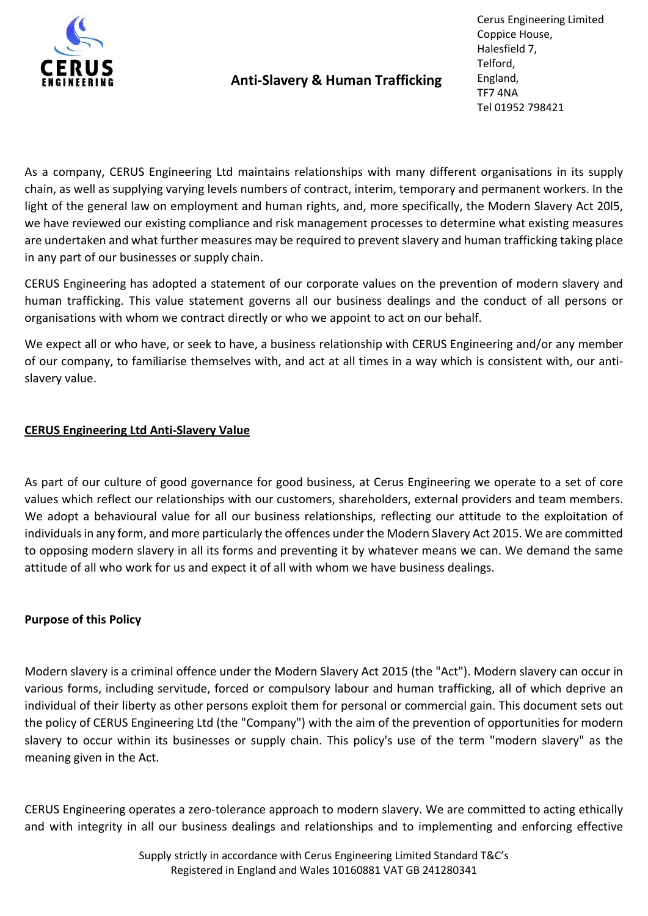

# Anti-Slavery & Human Trafficking

Cerus Engineering Limited Coppice House, Halesfield 7, Telford, England, TF7 4NA Tel 01952 798421

As a company, CERUS Engineering Ltd maintains relationships with many different organisations in its supply chain, as well as supplying varying levels numbers of contract, interim, temporary and permanent workers. In the light of the general law on employment and human rights, and, more specifically, the Modern Slavery Act 20l5, we have reviewed our existing compliance and risk management processes to determine what existing measures are undertaken and what further measures may be required to prevent slavery and human trafficking taking place in any part of our businesses or supply chain.

CERUS Engineering has adopted a statement of our corporate values on the prevention of modern slavery and human trafficking. This value statement governs all our business dealings and the conduct of all persons or organisations with whom we contract directly or who we appoint to act on our behalf.

We expect all or who have, or seek to have, a business relationship with CERUS Engineering and/or any member of our company, to familiarise themselves with, and act at all times in a way which is consistent with, our antislavery value.

# CERUS Engineering Ltd Anti-Slavery Value

As part of our culture of good governance for good business, at Cerus Engineering we operate to a set of core values which reflect our relationships with our customers, shareholders, external providers and team members. We adopt a behavioural value for all our business relationships, reflecting our attitude to the exploitation of individuals in any form, and more particularly the offences under the Modern Slavery Act 2015. We are committed to opposing modern slavery in all its forms and preventing it by whatever means we can. We demand the same attitude of all who work for us and expect it of all with whom we have business dealings.

# Purpose of this Policy

Modern slavery is a criminal offence under the Modern Slavery Act 2015 (the "Act"). Modern slavery can occur in various forms, including servitude, forced or compulsory labour and human trafficking, all of which deprive an individual of their liberty as other persons exploit them for personal or commercial gain. This document sets out the policy of CERUS Engineering Ltd (the "Company") with the aim of the prevention of opportunities for modern slavery to occur within its businesses or supply chain. This policy's use of the term "modern slavery" as the meaning given in the Act.

CERUS Engineering operates a zero-tolerance approach to modern slavery. We are committed to acting ethically and with integrity in all our business dealings and relationships and to implementing and enforcing effective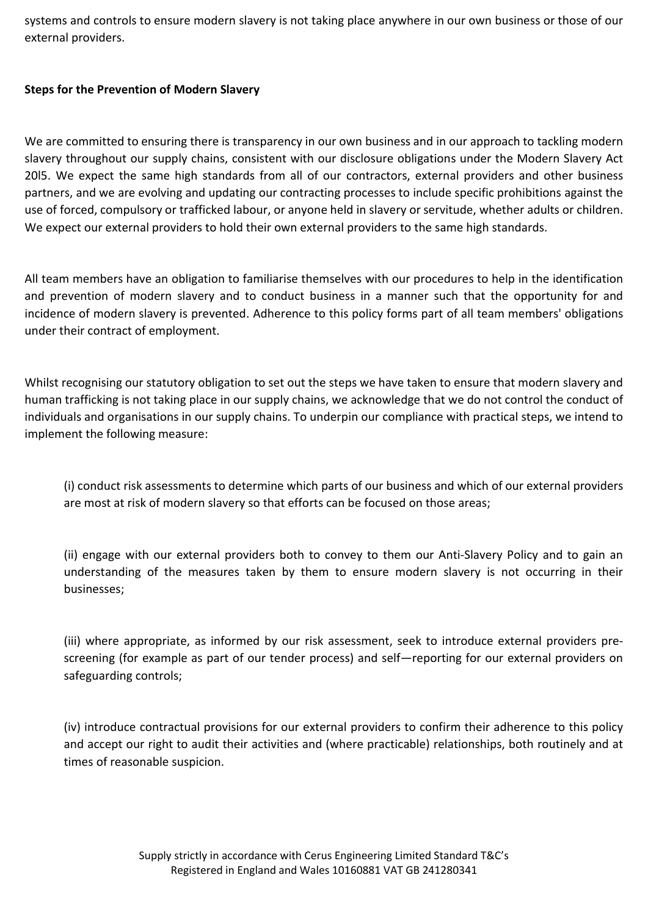systems and controls to ensure modern slavery is not taking place anywhere in our own business or those of our external providers.

## Steps for the Prevention of Modern Slavery

We are committed to ensuring there is transparency in our own business and in our approach to tackling modern slavery throughout our supply chains, consistent with our disclosure obligations under the Modern Slavery Act 20l5. We expect the same high standards from all of our contractors, external providers and other business partners, and we are evolving and updating our contracting processes to include specific prohibitions against the use of forced, compulsory or trafficked labour, or anyone held in slavery or servitude, whether adults or children. We expect our external providers to hold their own external providers to the same high standards.

All team members have an obligation to familiarise themselves with our procedures to help in the identification and prevention of modern slavery and to conduct business in a manner such that the opportunity for and incidence of modern slavery is prevented. Adherence to this policy forms part of all team members' obligations under their contract of employment.

Whilst recognising our statutory obligation to set out the steps we have taken to ensure that modern slavery and human trafficking is not taking place in our supply chains, we acknowledge that we do not control the conduct of individuals and organisations in our supply chains. To underpin our compliance with practical steps, we intend to implement the following measure:

(i) conduct risk assessments to determine which parts of our business and which of our external providers are most at risk of modern slavery so that efforts can be focused on those areas;

(ii) engage with our external providers both to convey to them our Anti-Slavery Policy and to gain an understanding of the measures taken by them to ensure modern slavery is not occurring in their businesses;

(iii) where appropriate, as informed by our risk assessment, seek to introduce external providers prescreening (for example as part of our tender process) and self—reporting for our external providers on safeguarding controls;

(iv) introduce contractual provisions for our external providers to confirm their adherence to this policy and accept our right to audit their activities and (where practicable) relationships, both routinely and at times of reasonable suspicion.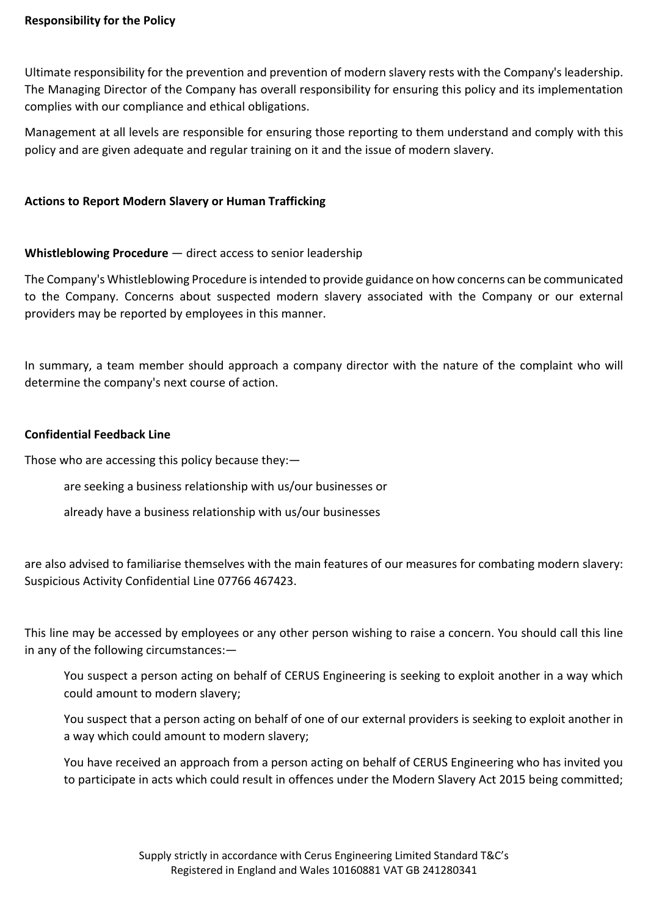### Responsibility for the Policy

Ultimate responsibility for the prevention and prevention of modern slavery rests with the Company's leadership. The Managing Director of the Company has overall responsibility for ensuring this policy and its implementation complies with our compliance and ethical obligations.

Management at all levels are responsible for ensuring those reporting to them understand and comply with this policy and are given adequate and regular training on it and the issue of modern slavery.

#### Actions to Report Modern Slavery or Human Trafficking

#### Whistleblowing Procedure – direct access to senior leadership

The Company's Whistleblowing Procedure is intended to provide guidance on how concerns can be communicated to the Company. Concerns about suspected modern slavery associated with the Company or our external providers may be reported by employees in this manner.

In summary, a team member should approach a company director with the nature of the complaint who will determine the company's next course of action.

#### Confidential Feedback Line

Those who are accessing this policy because they:—

are seeking a business relationship with us/our businesses or

already have a business relationship with us/our businesses

are also advised to familiarise themselves with the main features of our measures for combating modern slavery: Suspicious Activity Confidential Line 07766 467423.

This line may be accessed by employees or any other person wishing to raise a concern. You should call this line in any of the following circumstances:—

You suspect a person acting on behalf of CERUS Engineering is seeking to exploit another in a way which could amount to modern slavery;

You suspect that a person acting on behalf of one of our external providers is seeking to exploit another in a way which could amount to modern slavery;

You have received an approach from a person acting on behalf of CERUS Engineering who has invited you to participate in acts which could result in offences under the Modern Slavery Act 2015 being committed;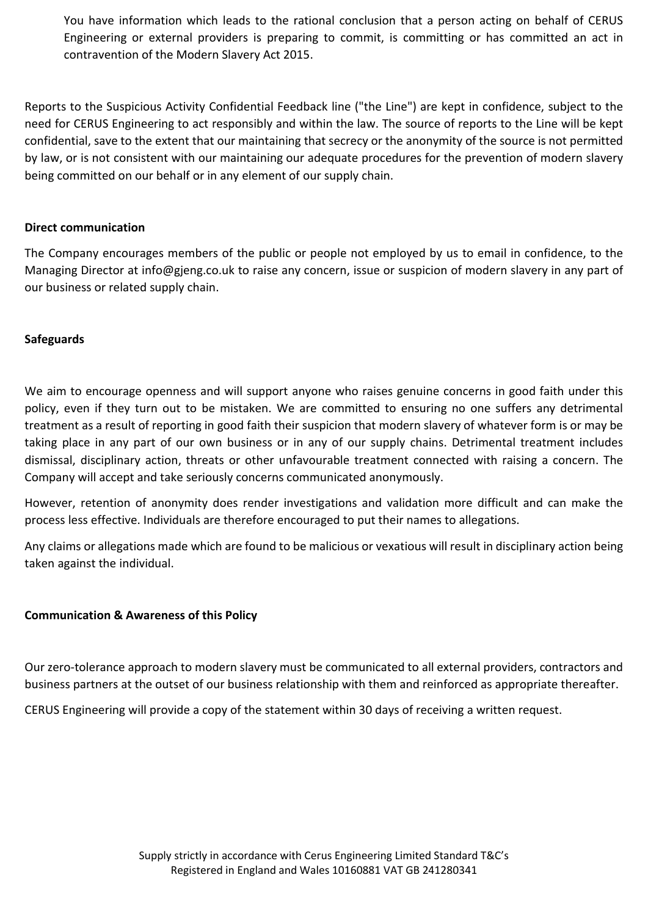You have information which leads to the rational conclusion that a person acting on behalf of CERUS Engineering or external providers is preparing to commit, is committing or has committed an act in contravention of the Modern Slavery Act 2015.

Reports to the Suspicious Activity Confidential Feedback line ("the Line") are kept in confidence, subject to the need for CERUS Engineering to act responsibly and within the law. The source of reports to the Line will be kept confidential, save to the extent that our maintaining that secrecy or the anonymity of the source is not permitted by law, or is not consistent with our maintaining our adequate procedures for the prevention of modern slavery being committed on our behalf or in any element of our supply chain.

## Direct communication

The Company encourages members of the public or people not employed by us to email in confidence, to the Managing Director at info@gjeng.co.uk to raise any concern, issue or suspicion of modern slavery in any part of our business or related supply chain.

## **Safeguards**

We aim to encourage openness and will support anyone who raises genuine concerns in good faith under this policy, even if they turn out to be mistaken. We are committed to ensuring no one suffers any detrimental treatment as a result of reporting in good faith their suspicion that modern slavery of whatever form is or may be taking place in any part of our own business or in any of our supply chains. Detrimental treatment includes dismissal, disciplinary action, threats or other unfavourable treatment connected with raising a concern. The Company will accept and take seriously concerns communicated anonymously.

However, retention of anonymity does render investigations and validation more difficult and can make the process less effective. Individuals are therefore encouraged to put their names to allegations.

Any claims or allegations made which are found to be malicious or vexatious will result in disciplinary action being taken against the individual.

### Communication & Awareness of this Policy

Our zero-tolerance approach to modern slavery must be communicated to all external providers, contractors and business partners at the outset of our business relationship with them and reinforced as appropriate thereafter.

CERUS Engineering will provide a copy of the statement within 30 days of receiving a written request.